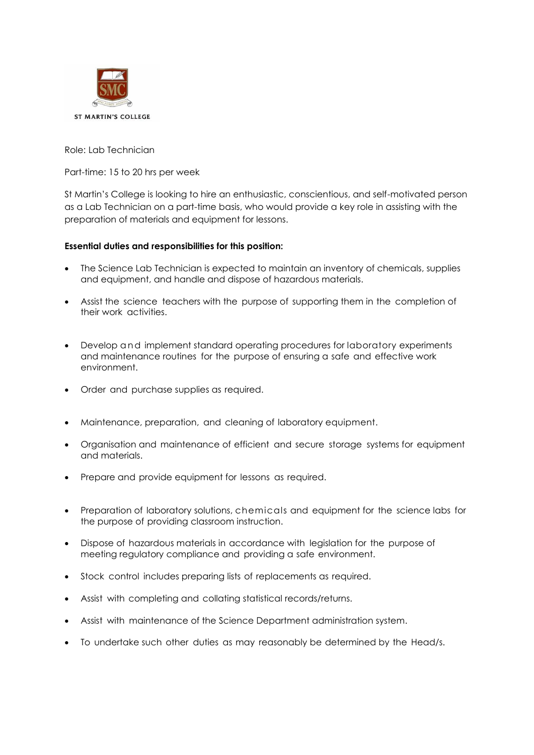

Role: Lab Technician

Part-time: 15 to 20 hrs per week

St Martin's College is looking to hire an enthusiastic, conscientious, and self-motivated person as a Lab Technician on a part-time basis, who would provide a key role in assisting with the preparation of materials and equipment for lessons.

## **Essential duties and responsibilities for this position:**

- The Science Lab Technician is expected to maintain an inventory of chemicals, supplies and equipment, and handle and dispose of hazardous materials.
- Assist the science teachers with the purpose of supporting them in the completion of their work activities.
- Develop and implement standard operating procedures for laboratory experiments and maintenance routines for the purpose of ensuring a safe and effective work environment.
- Order and purchase supplies as required.
- Maintenance, preparation, and cleaning of laboratory equipment.
- Organisation and maintenance of efficient and secure storage systems for equipment and materials.
- Prepare and provide equipment for lessons as required.
- Preparation of laboratory solutions, chemicals and equipment for the science labs for the purpose of providing classroom instruction.
- Dispose of hazardous materials in accordance with legislation for the purpose of meeting regulatory compliance and providing a safe environment.
- Stock control includes preparing lists of replacements as required.
- Assist with completing and collating statistical records/returns.
- Assist with maintenance of the Science Department administration system.
- To undertake such other duties as may reasonably be determined by the Head/s.